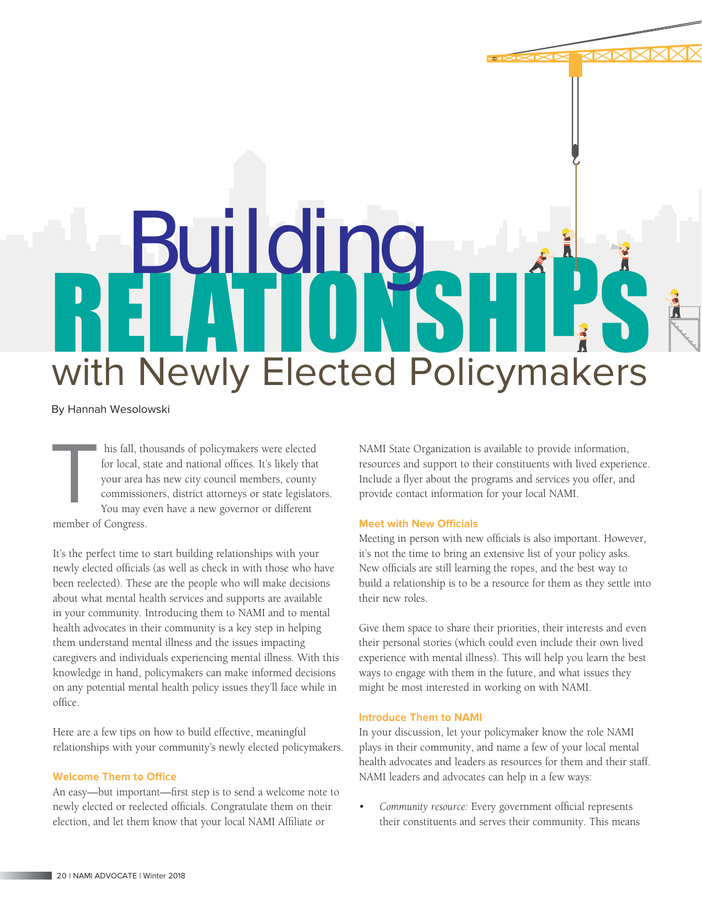Building with Newly Elected Policymakers

By Hannah Wesolowski

 his fall, thousands of policymakers were elected for local, state and national offices. It's likely that your area has new city council members, county commissioners, district attorneys or state legislators. You may even have a new governor or different member of Congress.  $\begin{array}{c}\n\hline\n\end{array}$ 

It's the perfect time to start building relationships with your newly elected officials (as well as check in with those who have been reelected). These are the people who will make decisions about what mental health services and supports are available in your community. Introducing them to NAMI and to mental health advocates in their community is a key step in helping them understand mental illness and the issues impacting caregivers and individuals experiencing mental illness. With this knowledge in hand, policymakers can make informed decisions on any potential mental health policy issues they'll face while in office.

Here are a few tips on how to build effective, meaningful relationships with your community's newly elected policymakers.

# **Welcome Them to Office**

An easy-but important-first step is to send a welcome note to newly elected or reelected officials. Congratulate them on their election, and let them know that your local NAMI Affiliate or

NAMI State Organization is available to provide information, resources and support to their constituents with lived experience. Include a flyer about the programs and services you offer, and provide contact information for your local NAMI.

# **Meet with New Officials**

Meeting in person with new officials is also important. However, it's not the time to bring an extensive list of your policy asks. New officials are still learning the ropes, and the best way to build a relationship is to be a resource for them as they settle into their new roles.

Give them space to share their priorities, their interests and even their personal stories (which could even include their own lived experience with mental illness). This will help you learn the best ways to engage with them in the future, and what issues they might be most interested in working on with NAMI.

# **Introduce Them to NAMI**

In your discussion, let your policymaker know the role NAMI plays in their community, and name a few of your local mental health advocates and leaders as resources for them and their staff. NAMI leaders and advocates can help in a few ways:

Community resource: Every government official represents their constituents and serves their community. This means